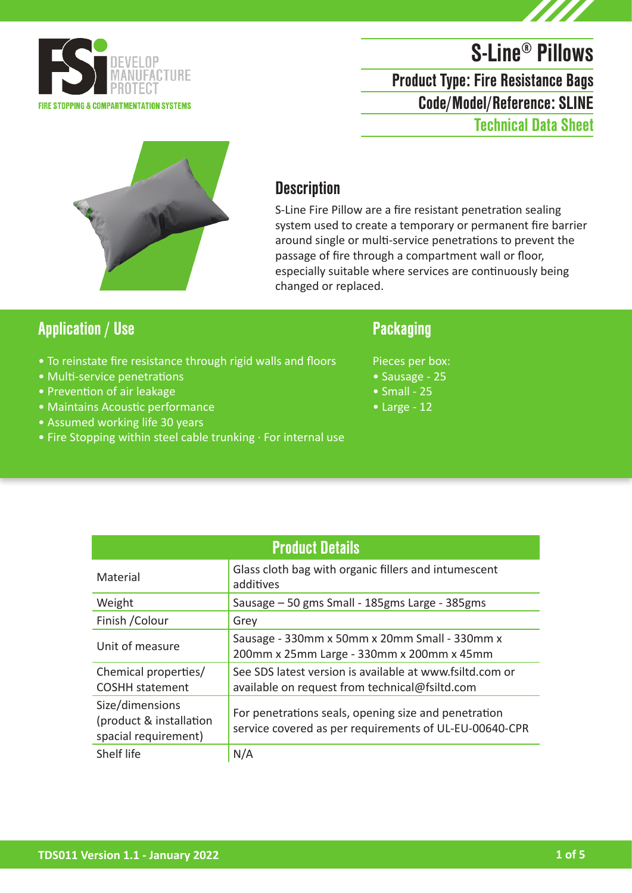

# S-Line® Pillows

Code/Model/Reference: SLINE Product Type: Fire Resistance Bags Technical Data Sheet



### **Description**

S-Line Fire Pillow are a fire resistant penetration sealing system used to create a temporary or permanent fire barrier around single or multi-service penetrations to prevent the passage of fire through a compartment wall or floor, especially suitable where services are continuously being changed or replaced.

### Application / Use Packaging

- To reinstate fire resistance through rigid walls and floors
- Multi-service penetrations
- Prevention of air leakage
- Maintains Acoustic performance
- Assumed working life 30 years
- Fire Stopping within steel cable trunking · For internal use

Pieces per box:

- Sausage 25
- $\bullet$  Small 25
- Large 12

| <b>Product Details</b>                                             |                                                                                                                |  |
|--------------------------------------------------------------------|----------------------------------------------------------------------------------------------------------------|--|
| Material                                                           | Glass cloth bag with organic fillers and intumescent<br>additives                                              |  |
| Weight                                                             | Sausage - 50 gms Small - 185gms Large - 385gms                                                                 |  |
| Finish / Colour                                                    | Grey                                                                                                           |  |
| Unit of measure                                                    | Sausage - 330mm x 50mm x 20mm Small - 330mm x<br>200mm x 25mm Large - 330mm x 200mm x 45mm                     |  |
| Chemical properties/<br><b>COSHH</b> statement                     | See SDS latest version is available at www.fsiltd.com or<br>available on request from technical@fsiltd.com     |  |
| Size/dimensions<br>(product & installation<br>spacial requirement) | For penetrations seals, opening size and penetration<br>service covered as per requirements of UL-EU-00640-CPR |  |
| Shelf life                                                         | N/A                                                                                                            |  |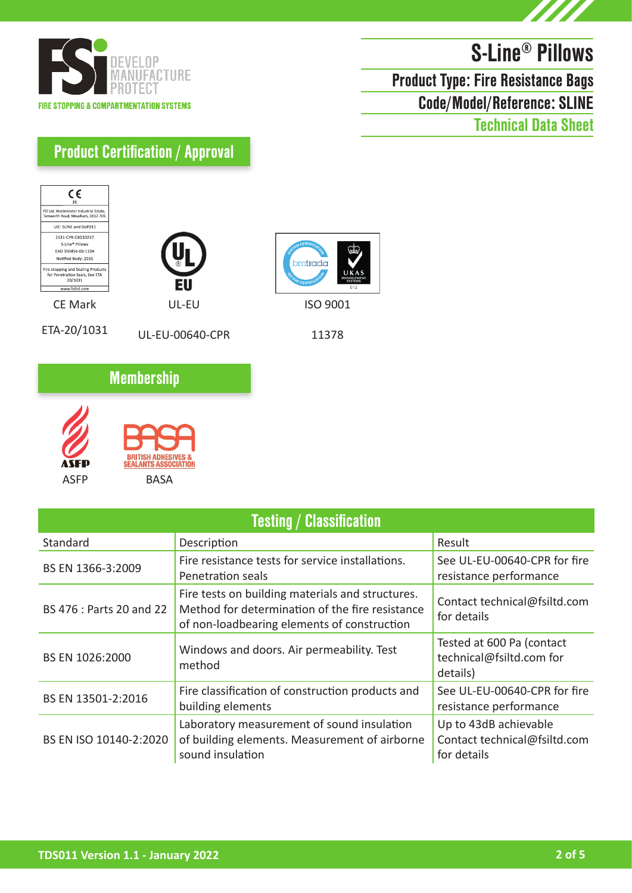



# S-Line® Pillows Product Type: Fire Resistance Bags

Code/Model/Reference: SLINE

Technical Data Sheet

### Product Certification / Approval







ETA-20/1031

UL-EU-00640-CPR



ISO 9001

11378

### **Membership**



| <b>Testing / Classification</b> |                                                                                                                                                    |                                                                      |
|---------------------------------|----------------------------------------------------------------------------------------------------------------------------------------------------|----------------------------------------------------------------------|
| Standard                        | Description                                                                                                                                        | Result                                                               |
| BS EN 1366-3:2009               | Fire resistance tests for service installations.<br>Penetration seals                                                                              | See UL-EU-00640-CPR for fire<br>resistance performance               |
| BS 476 : Parts 20 and 22        | Fire tests on building materials and structures.<br>Method for determination of the fire resistance<br>of non-loadbearing elements of construction | Contact technical@fsiltd.com<br>for details                          |
| BS EN 1026:2000                 | Windows and doors. Air permeability. Test<br>method                                                                                                | Tested at 600 Pa (contact<br>technical@fsiltd.com for<br>details)    |
| BS EN 13501-2:2016              | Fire classification of construction products and<br>building elements                                                                              | See UL-EU-00640-CPR for fire<br>resistance performance               |
| BS EN ISO 10140-2:2020          | Laboratory measurement of sound insulation<br>of building elements. Measurement of airborne<br>sound insulation                                    | Up to 43dB achievable<br>Contact technical@fsiltd.com<br>for details |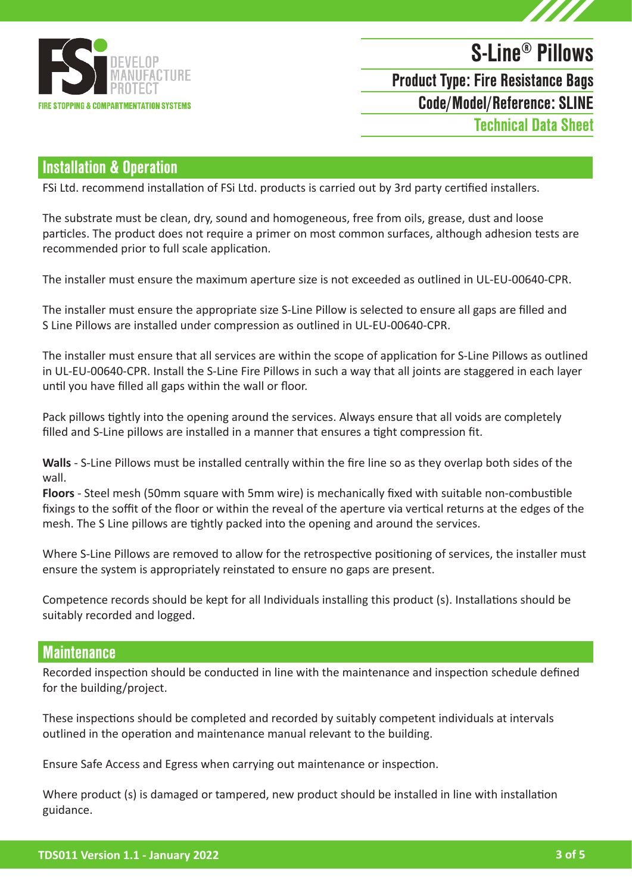

# S-Line® Pillows Code/Model/Reference: SLINE Product Type: Fire Resistance Bags

Technical Data Sheet

#### Installation & Operation

FSi Ltd. recommend installation of FSi Ltd. products is carried out by 3rd party certified installers.

The substrate must be clean, dry, sound and homogeneous, free from oils, grease, dust and loose particles. The product does not require a primer on most common surfaces, although adhesion tests are recommended prior to full scale application.

The installer must ensure the maximum aperture size is not exceeded as outlined in UL-EU-00640-CPR.

The installer must ensure the appropriate size S-Line Pillow is selected to ensure all gaps are filled and S Line Pillows are installed under compression as outlined in UL-EU-00640-CPR.

The installer must ensure that all services are within the scope of application for S-Line Pillows as outlined in UL-EU-00640-CPR. Install the S-Line Fire Pillows in such a way that all joints are staggered in each layer until you have filled all gaps within the wall or floor.

Pack pillows tightly into the opening around the services. Always ensure that all voids are completely filled and S-Line pillows are installed in a manner that ensures a tight compression fit.

**Walls** - S-Line Pillows must be installed centrally within the fire line so as they overlap both sides of the wall.

**Floors** - Steel mesh (50mm square with 5mm wire) is mechanically fixed with suitable non-combustible fixings to the soffit of the floor or within the reveal of the aperture via vertical returns at the edges of the mesh. The S Line pillows are tightly packed into the opening and around the services.

Where S-Line Pillows are removed to allow for the retrospective positioning of services, the installer must ensure the system is appropriately reinstated to ensure no gaps are present.

Competence records should be kept for all Individuals installing this product (s). Installations should be suitably recorded and logged.

#### **Maintenance**

Recorded inspection should be conducted in line with the maintenance and inspection schedule defined for the building/project.

These inspections should be completed and recorded by suitably competent individuals at intervals outlined in the operation and maintenance manual relevant to the building.

Ensure Safe Access and Egress when carrying out maintenance or inspection.

Where product (s) is damaged or tampered, new product should be installed in line with installation guidance.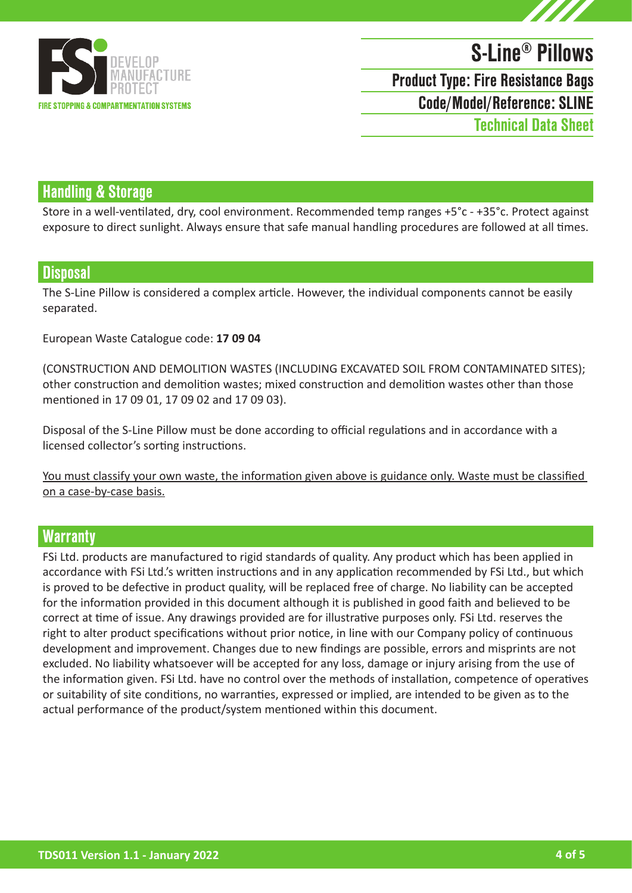

# S-Line® Pillows Code/Model/Reference: SLINE Product Type: Fire Resistance Bags Technical Data Sheet

### Handling & Storage

Store in a well-ventilated, dry, cool environment. Recommended temp ranges +5°c - +35°c. Protect against exposure to direct sunlight. Always ensure that safe manual handling procedures are followed at all times.

#### **Disposal**

The S-Line Pillow is considered a complex article. However, the individual components cannot be easily separated.

European Waste Catalogue code: **17 09 04**

(CONSTRUCTION AND DEMOLITION WASTES (INCLUDING EXCAVATED SOIL FROM CONTAMINATED SITES); other construction and demolition wastes; mixed construction and demolition wastes other than those mentioned in 17 09 01, 17 09 02 and 17 09 03).

Disposal of the S-Line Pillow must be done according to official regulations and in accordance with a licensed collector's sorting instructions.

You must classify your own waste, the information given above is guidance only. Waste must be classified on a case-by-case basis.

#### **Warranty**

FSi Ltd. products are manufactured to rigid standards of quality. Any product which has been applied in accordance with FSi Ltd.'s written instructions and in any application recommended by FSi Ltd., but which is proved to be defective in product quality, will be replaced free of charge. No liability can be accepted for the information provided in this document although it is published in good faith and believed to be correct at time of issue. Any drawings provided are for illustrative purposes only. FSi Ltd. reserves the right to alter product specifications without prior notice, in line with our Company policy of continuous development and improvement. Changes due to new findings are possible, errors and misprints are not excluded. No liability whatsoever will be accepted for any loss, damage or injury arising from the use of the information given. FSi Ltd. have no control over the methods of installation, competence of operatives or suitability of site conditions, no warranties, expressed or implied, are intended to be given as to the actual performance of the product/system mentioned within this document.